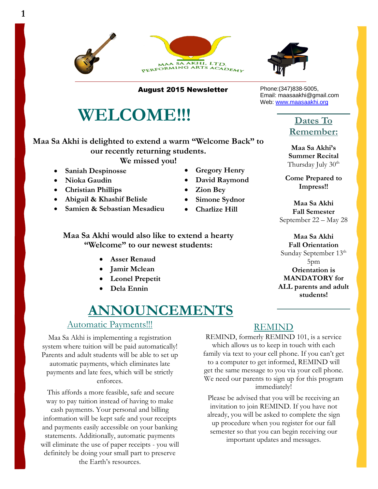



August 2015 Newsletter

# **WELCOME!!!**

**Maa Sa Akhi is delighted to extend a warm "Welcome Back" to our recently returning students.** 

**We missed you!** 

- **Saniah Despinosse**
- **Nioka Gaudin**
- **Christian Phillips**
- **Abigail & Khashif Belisle**
- **Samien & Sebastian Mesadieu**

#### **Maa Sa Akhi would also like to extend a hearty "Welcome" to our newest students:**

- **Asser Renaud**
- **Jamir Mclean**
- **Leonel Prepetit**
- **Dela Ennin**

# **ANNOUNCEMENTS**

#### Automatic Payments!!!

Maa Sa Akhi is implementing a registration system where tuition will be paid automatically! Parents and adult students will be able to set up automatic payments, which eliminates late payments and late fees, which will be strictly enforces.

 will eliminate the use of paper receipts - you will This affords a more feasible, safe and secure way to pay tuition instead of having to make cash payments. Your personal and billing information will be kept safe and your receipts and payments easily accessible on your banking statements. Additionally, automatic payments definitely be doing your small part to preserve the Earth's resources.

- **Gregory Henry**
- **David Raymond**
- **Zion Bey**
- **Simone Sydnor**
- **Charlize Hill**

#### REMIND

REMIND, formerly REMIND 101, is a service which allows us to keep in touch with each family via text to your cell phone. If you can't get to a computer to get informed, REMIND will get the same message to you via your cell phone. We need our parents to sign up for this program immediately!

Please be advised that you will be receiving an invitation to join REMIND. If you have not already, you will be asked to complete the sign up procedure when you register for our fall semester so that you can begin receiving our important updates and messages.

Phone:(347)838-5005, Email: maasaakhi@gmail.com Web: [www.maasaakhi.org](http://www.maasaakhi.org/)

#### **Dates To Remember:**

**Maa Sa Akhi's Summer Recital** Thursday July 30<sup>th</sup>

**Come Prepared to Impress!!**

**Maa Sa Akhi Fall Semester**  September 22 – May 28

**Maa Sa Akhi Fall Orientation** Sunday September 13<sup>th</sup> 5pm **Orientation is MANDATORY for ALL parents and adult students!**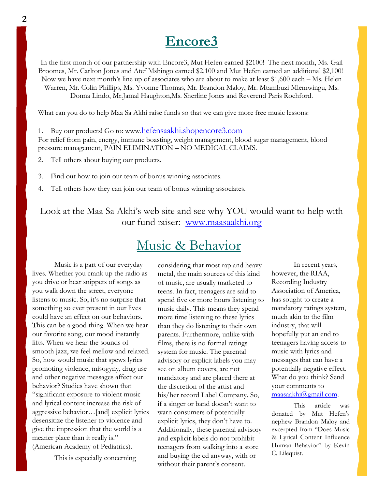## **Encore3**

In the first month of our partnership with Encore3, Mut Hefen earned \$2100! The next month, Ms. Gail Broomes, Mr. Carlton Jones and Atef Mshingo earned \$2,100 and Mut Hefen earned an additional \$2,100! Now we have next month's line up of associates who are about to make at least \$1,600 each – Ms. Helen Warren, Mr. Colin Phillips, Ms. Yvonne Thomas, Mr. Brandon Maloy, Mr. Mtambuzi Mlemwingu, Ms. Donna Lindo, Mr.Jamal Haughton,Ms. Sherline Jones and Reverend Paris Rochford.

What can you do to help Maa Sa Akhi raise funds so that we can give more free music lessons:

1. Buy our products! Go to: www.[hefensaakhi.shopencore3.com](http://hefensaakhi.shopencore3.com/)

For relief from pain, energy, immune boasting, weight management, blood sugar management, blood pressure management, PAIN ELIMINATION – NO MEDICAL CLAIMS.

2. Tell others about buying our products.

3. Find out how to join our team of bonus winning associates.

4. Tell others how they can join our team of bonus winning associates.

Look at the Maa Sa Akhi's web site and see why YOU would want to help with our fund raiser: [www.maasaakhi.org](http://www.maasaakhi.org/)

## Music & Behavior

- Music is a part of our everyday lives. Whether you crank up the radio as you drive or hear snippets of songs as you walk down the street, everyone listens to music. So, it's no surprise that something so ever present in our lives could have an effect on our behaviors. This can be a good thing. When we hear our favorite song, our mood instantly lifts. When we hear the sounds of smooth jazz, we feel mellow and relaxed. So, how would music that spews lyrics promoting violence, misogyny, drug use and other negative messages affect our behavior? Studies have shown that "significant exposure to violent music and lyrical content increase the risk of aggressive behavior…[and] explicit lyrics desensitize the listener to violence and give the impression that the world is a meaner place than it really is." (American Academy of Pediatrics).

This is especially concerning

considering that most rap and heavy metal, the main sources of this kind of music, are usually marketed to teens. In fact, teenagers are said to spend five or more hours listening to music daily. This means they spend more time listening to these lyrics than they do listening to their own parents. Furthermore, unlike with films, there is no formal ratings system for music. The parental advisory or explicit labels you may see on album covers, are not mandatory and are placed there at the discretion of the artist and his/her record Label Company. So, if a singer or band doesn't want to warn consumers of potentially explicit lyrics, they don't have to. Additionally, these parental advisory and explicit labels do not prohibit teenagers from walking into a store and buying the cd anyway, with or without their parent's consent.

In recent years, however, the RIAA, Recording Industry Association of America, has sought to create a mandatory ratings system, much akin to the film industry, that will hopefully put an end to teenagers having access to music with lyrics and messages that can have a potentially negative effect. What do you think? Send your comments to [maasaakhi@gmail.com.](mailto:maasaakhi@gmail.com)

This article was donated by Mut Hefen's nephew Brandon Maloy and excerpted from "Does Music & Lyrical Content Influence Human Behavior" by Kevin C. Lilequist.